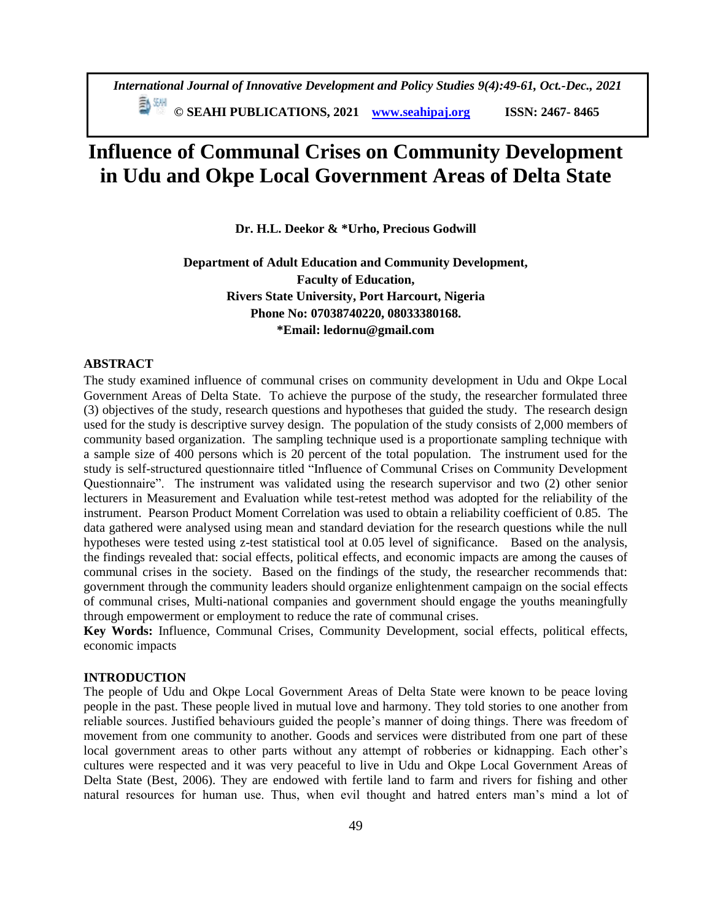*International Journal of Innovative Development and Policy Studies 9(4):49-61, Oct.-Dec., 2021* **© SEAHI PUBLICATIONS, 2021 [www.seahipaj.org](http://www.seahipaj.org/) ISSN: 2467- 8465**

# **Influence of Communal Crises on Community Development in Udu and Okpe Local Government Areas of Delta State**

**Dr. H.L. Deekor & \*Urho, Precious Godwill**

# **Department of Adult Education and Community Development, Faculty of Education, Rivers State University, Port Harcourt, Nigeria Phone No: 07038740220, 08033380168. \*Email: ledornu@gmail.com**

# **ABSTRACT**

The study examined influence of communal crises on community development in Udu and Okpe Local Government Areas of Delta State. To achieve the purpose of the study, the researcher formulated three (3) objectives of the study, research questions and hypotheses that guided the study. The research design used for the study is descriptive survey design. The population of the study consists of 2,000 members of community based organization. The sampling technique used is a proportionate sampling technique with a sample size of 400 persons which is 20 percent of the total population. The instrument used for the study is self-structured questionnaire titled "Influence of Communal Crises on Community Development Questionnaire". The instrument was validated using the research supervisor and two (2) other senior lecturers in Measurement and Evaluation while test-retest method was adopted for the reliability of the instrument. Pearson Product Moment Correlation was used to obtain a reliability coefficient of 0.85. The data gathered were analysed using mean and standard deviation for the research questions while the null hypotheses were tested using z-test statistical tool at 0.05 level of significance. Based on the analysis, the findings revealed that: social effects, political effects, and economic impacts are among the causes of communal crises in the society. Based on the findings of the study, the researcher recommends that: government through the community leaders should organize enlightenment campaign on the social effects of communal crises, Multi-national companies and government should engage the youths meaningfully through empowerment or employment to reduce the rate of communal crises.

**Key Words:** Influence, Communal Crises, Community Development, social effects, political effects, economic impacts

# **INTRODUCTION**

The people of Udu and Okpe Local Government Areas of Delta State were known to be peace loving people in the past. These people lived in mutual love and harmony. They told stories to one another from reliable sources. Justified behaviours guided the people's manner of doing things. There was freedom of movement from one community to another. Goods and services were distributed from one part of these local government areas to other parts without any attempt of robberies or kidnapping. Each other's cultures were respected and it was very peaceful to live in Udu and Okpe Local Government Areas of Delta State (Best, 2006). They are endowed with fertile land to farm and rivers for fishing and other natural resources for human use. Thus, when evil thought and hatred enters man's mind a lot of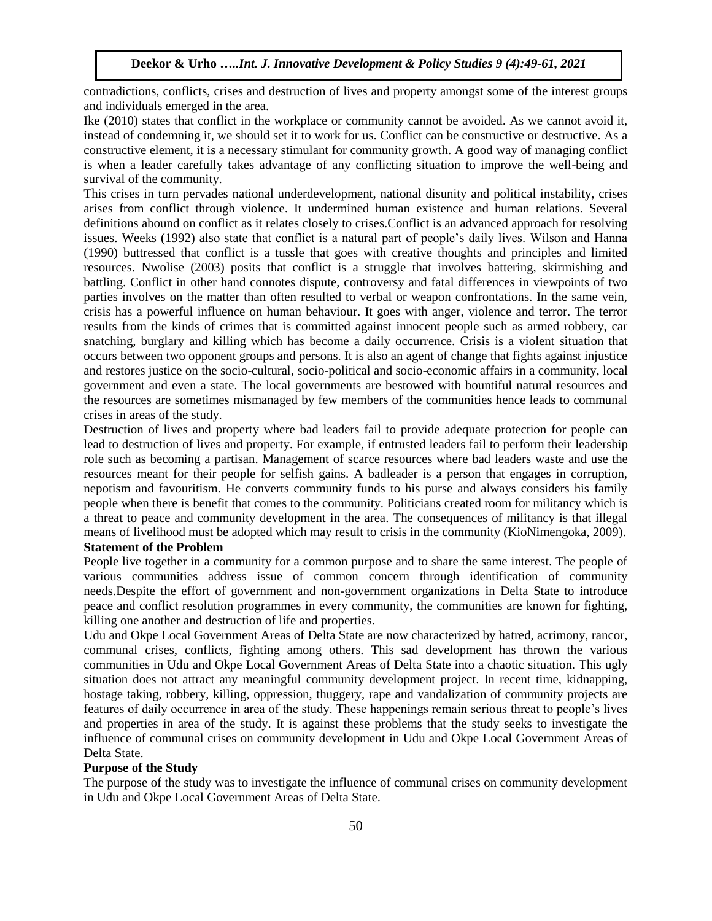contradictions, conflicts, crises and destruction of lives and property amongst some of the interest groups and individuals emerged in the area.

Ike (2010) states that conflict in the workplace or community cannot be avoided. As we cannot avoid it, instead of condemning it, we should set it to work for us. Conflict can be constructive or destructive. As a constructive element, it is a necessary stimulant for community growth. A good way of managing conflict is when a leader carefully takes advantage of any conflicting situation to improve the well-being and survival of the community.

This crises in turn pervades national underdevelopment, national disunity and political instability, crises arises from conflict through violence. It undermined human existence and human relations. Several definitions abound on conflict as it relates closely to crises.Conflict is an advanced approach for resolving issues. Weeks (1992) also state that conflict is a natural part of people's daily lives. Wilson and Hanna (1990) buttressed that conflict is a tussle that goes with creative thoughts and principles and limited resources. Nwolise (2003) posits that conflict is a struggle that involves battering, skirmishing and battling. Conflict in other hand connotes dispute, controversy and fatal differences in viewpoints of two parties involves on the matter than often resulted to verbal or weapon confrontations. In the same vein, crisis has a powerful influence on human behaviour. It goes with anger, violence and terror. The terror results from the kinds of crimes that is committed against innocent people such as armed robbery, car snatching, burglary and killing which has become a daily occurrence. Crisis is a violent situation that occurs between two opponent groups and persons. It is also an agent of change that fights against injustice and restores justice on the socio-cultural, socio-political and socio-economic affairs in a community, local government and even a state. The local governments are bestowed with bountiful natural resources and the resources are sometimes mismanaged by few members of the communities hence leads to communal crises in areas of the study.

Destruction of lives and property where bad leaders fail to provide adequate protection for people can lead to destruction of lives and property. For example, if entrusted leaders fail to perform their leadership role such as becoming a partisan. Management of scarce resources where bad leaders waste and use the resources meant for their people for selfish gains. A badleader is a person that engages in corruption, nepotism and favouritism. He converts community funds to his purse and always considers his family people when there is benefit that comes to the community. Politicians created room for militancy which is a threat to peace and community development in the area. The consequences of militancy is that illegal means of livelihood must be adopted which may result to crisis in the community (KioNimengoka, 2009).

# **Statement of the Problem**

People live together in a community for a common purpose and to share the same interest. The people of various communities address issue of common concern through identification of community needs.Despite the effort of government and non-government organizations in Delta State to introduce peace and conflict resolution programmes in every community, the communities are known for fighting, killing one another and destruction of life and properties.

Udu and Okpe Local Government Areas of Delta State are now characterized by hatred, acrimony, rancor, communal crises, conflicts, fighting among others. This sad development has thrown the various communities in Udu and Okpe Local Government Areas of Delta State into a chaotic situation. This ugly situation does not attract any meaningful community development project. In recent time, kidnapping, hostage taking, robbery, killing, oppression, thuggery, rape and vandalization of community projects are features of daily occurrence in area of the study. These happenings remain serious threat to people's lives and properties in area of the study. It is against these problems that the study seeks to investigate the influence of communal crises on community development in Udu and Okpe Local Government Areas of Delta State.

# **Purpose of the Study**

The purpose of the study was to investigate the influence of communal crises on community development in Udu and Okpe Local Government Areas of Delta State.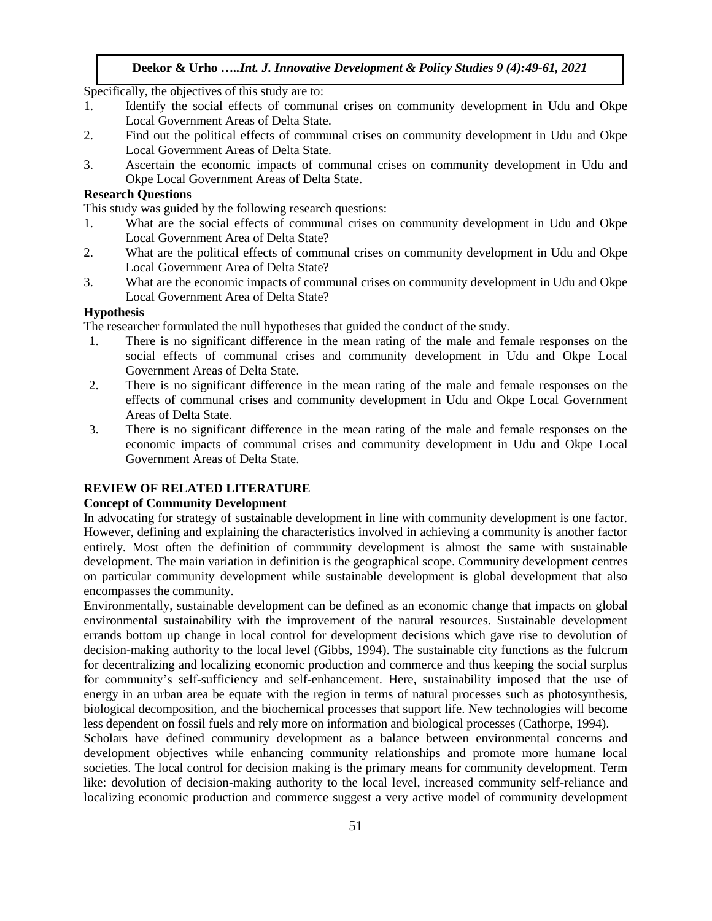Specifically, the objectives of this study are to:

- 1. Identify the social effects of communal crises on community development in Udu and Okpe Local Government Areas of Delta State.
- 2. Find out the political effects of communal crises on community development in Udu and Okpe Local Government Areas of Delta State.
- 3. Ascertain the economic impacts of communal crises on community development in Udu and Okpe Local Government Areas of Delta State.

## **Research Questions**

This study was guided by the following research questions:

- 1. What are the social effects of communal crises on community development in Udu and Okpe Local Government Area of Delta State?
- 2. What are the political effects of communal crises on community development in Udu and Okpe Local Government Area of Delta State?
- 3. What are the economic impacts of communal crises on community development in Udu and Okpe Local Government Area of Delta State?

## **Hypothesis**

The researcher formulated the null hypotheses that guided the conduct of the study.

- 1. There is no significant difference in the mean rating of the male and female responses on the social effects of communal crises and community development in Udu and Okpe Local Government Areas of Delta State.
- 2. There is no significant difference in the mean rating of the male and female responses on the effects of communal crises and community development in Udu and Okpe Local Government Areas of Delta State.
- 3. There is no significant difference in the mean rating of the male and female responses on the economic impacts of communal crises and community development in Udu and Okpe Local Government Areas of Delta State.

# **REVIEW OF RELATED LITERATURE**

#### **Concept of Community Development**

In advocating for strategy of sustainable development in line with community development is one factor. However, defining and explaining the characteristics involved in achieving a community is another factor entirely. Most often the definition of community development is almost the same with sustainable development. The main variation in definition is the geographical scope. Community development centres on particular community development while sustainable development is global development that also encompasses the community.

Environmentally, sustainable development can be defined as an economic change that impacts on global environmental sustainability with the improvement of the natural resources. Sustainable development errands bottom up change in local control for development decisions which gave rise to devolution of decision-making authority to the local level (Gibbs, 1994). The sustainable city functions as the fulcrum for decentralizing and localizing economic production and commerce and thus keeping the social surplus for community's self-sufficiency and self-enhancement. Here, sustainability imposed that the use of energy in an urban area be equate with the region in terms of natural processes such as photosynthesis, biological decomposition, and the biochemical processes that support life. New technologies will become less dependent on fossil fuels and rely more on information and biological processes (Cathorpe, 1994).

Scholars have defined community development as a balance between environmental concerns and development objectives while enhancing community relationships and promote more humane local societies. The local control for decision making is the primary means for community development. Term like: devolution of decision-making authority to the local level, increased community self-reliance and localizing economic production and commerce suggest a very active model of community development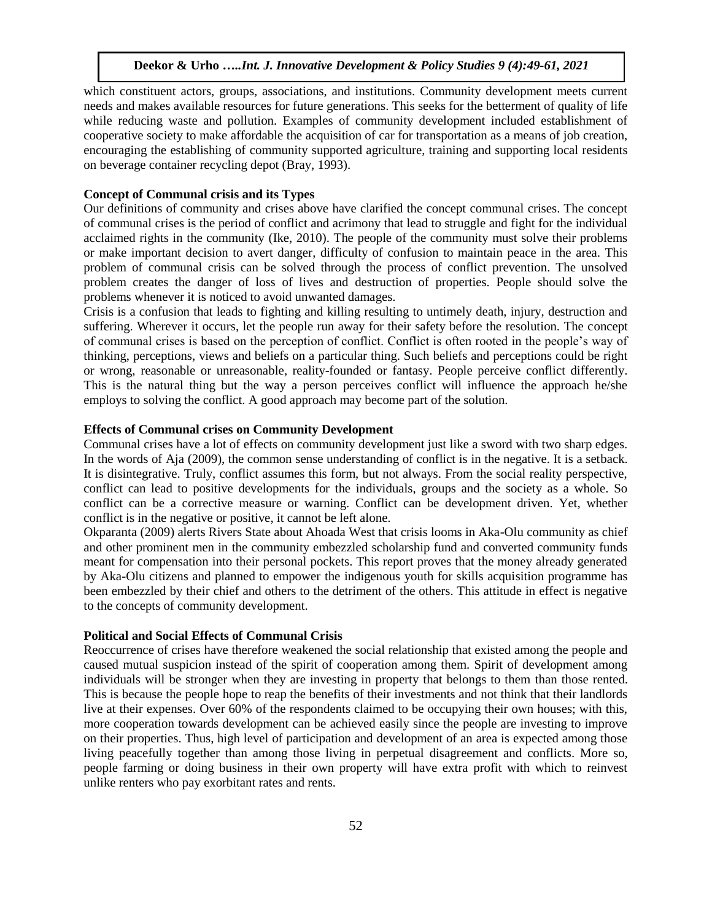which constituent actors, groups, associations, and institutions. Community development meets current needs and makes available resources for future generations. This seeks for the betterment of quality of life while reducing waste and pollution. Examples of community development included establishment of cooperative society to make affordable the acquisition of car for transportation as a means of job creation, encouraging the establishing of community supported agriculture, training and supporting local residents on beverage container recycling depot (Bray, 1993).

# **Concept of Communal crisis and its Types**

Our definitions of community and crises above have clarified the concept communal crises. The concept of communal crises is the period of conflict and acrimony that lead to struggle and fight for the individual acclaimed rights in the community (Ike, 2010). The people of the community must solve their problems or make important decision to avert danger, difficulty of confusion to maintain peace in the area. This problem of communal crisis can be solved through the process of conflict prevention. The unsolved problem creates the danger of loss of lives and destruction of properties. People should solve the problems whenever it is noticed to avoid unwanted damages.

Crisis is a confusion that leads to fighting and killing resulting to untimely death, injury, destruction and suffering. Wherever it occurs, let the people run away for their safety before the resolution. The concept of communal crises is based on the perception of conflict. Conflict is often rooted in the people's way of thinking, perceptions, views and beliefs on a particular thing. Such beliefs and perceptions could be right or wrong, reasonable or unreasonable, reality-founded or fantasy. People perceive conflict differently. This is the natural thing but the way a person perceives conflict will influence the approach he/she employs to solving the conflict. A good approach may become part of the solution.

# **Effects of Communal crises on Community Development**

Communal crises have a lot of effects on community development just like a sword with two sharp edges. In the words of Aja (2009), the common sense understanding of conflict is in the negative. It is a setback. It is disintegrative. Truly, conflict assumes this form, but not always. From the social reality perspective, conflict can lead to positive developments for the individuals, groups and the society as a whole. So conflict can be a corrective measure or warning. Conflict can be development driven. Yet, whether conflict is in the negative or positive, it cannot be left alone.

Okparanta (2009) alerts Rivers State about Ahoada West that crisis looms in Aka-Olu community as chief and other prominent men in the community embezzled scholarship fund and converted community funds meant for compensation into their personal pockets. This report proves that the money already generated by Aka-Olu citizens and planned to empower the indigenous youth for skills acquisition programme has been embezzled by their chief and others to the detriment of the others. This attitude in effect is negative to the concepts of community development.

## **Political and Social Effects of Communal Crisis**

Reoccurrence of crises have therefore weakened the social relationship that existed among the people and caused mutual suspicion instead of the spirit of cooperation among them. Spirit of development among individuals will be stronger when they are investing in property that belongs to them than those rented. This is because the people hope to reap the benefits of their investments and not think that their landlords live at their expenses. Over 60% of the respondents claimed to be occupying their own houses; with this, more cooperation towards development can be achieved easily since the people are investing to improve on their properties. Thus, high level of participation and development of an area is expected among those living peacefully together than among those living in perpetual disagreement and conflicts. More so, people farming or doing business in their own property will have extra profit with which to reinvest unlike renters who pay exorbitant rates and rents.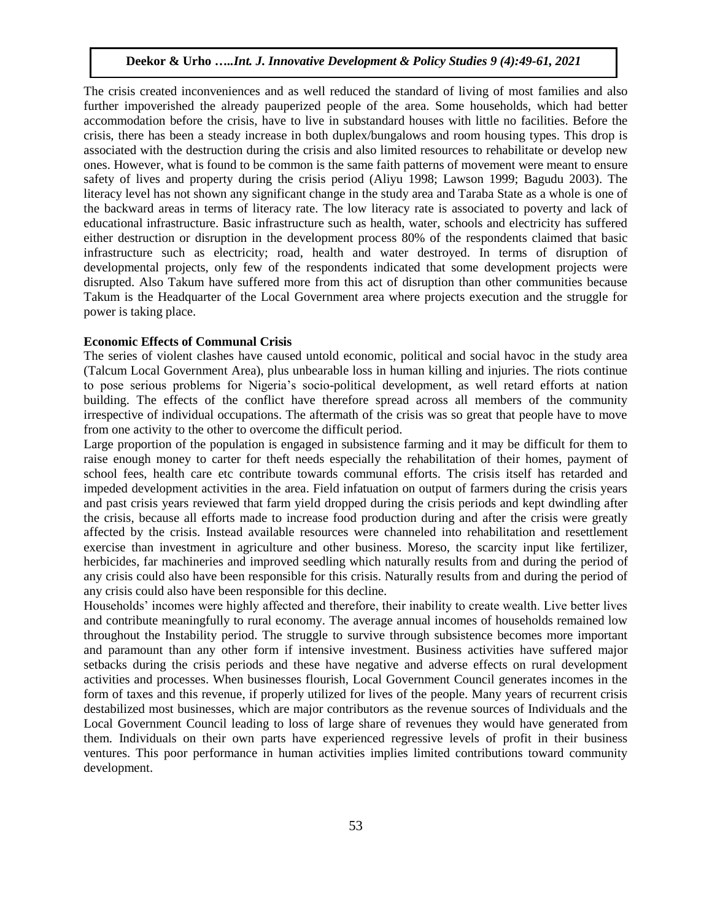The crisis created inconveniences and as well reduced the standard of living of most families and also further impoverished the already pauperized people of the area. Some households, which had better accommodation before the crisis, have to live in substandard houses with little no facilities. Before the crisis, there has been a steady increase in both duplex/bungalows and room housing types. This drop is associated with the destruction during the crisis and also limited resources to rehabilitate or develop new ones. However, what is found to be common is the same faith patterns of movement were meant to ensure safety of lives and property during the crisis period (Aliyu 1998; Lawson 1999; Bagudu 2003). The literacy level has not shown any significant change in the study area and Taraba State as a whole is one of the backward areas in terms of literacy rate. The low literacy rate is associated to poverty and lack of educational infrastructure. Basic infrastructure such as health, water, schools and electricity has suffered either destruction or disruption in the development process 80% of the respondents claimed that basic infrastructure such as electricity; road, health and water destroyed. In terms of disruption of developmental projects, only few of the respondents indicated that some development projects were disrupted. Also Takum have suffered more from this act of disruption than other communities because Takum is the Headquarter of the Local Government area where projects execution and the struggle for power is taking place.

#### **Economic Effects of Communal Crisis**

The series of violent clashes have caused untold economic, political and social havoc in the study area (Talcum Local Government Area), plus unbearable loss in human killing and injuries. The riots continue to pose serious problems for Nigeria's socio-political development, as well retard efforts at nation building. The effects of the conflict have therefore spread across all members of the community irrespective of individual occupations. The aftermath of the crisis was so great that people have to move from one activity to the other to overcome the difficult period.

Large proportion of the population is engaged in subsistence farming and it may be difficult for them to raise enough money to carter for theft needs especially the rehabilitation of their homes, payment of school fees, health care etc contribute towards communal efforts. The crisis itself has retarded and impeded development activities in the area. Field infatuation on output of farmers during the crisis years and past crisis years reviewed that farm yield dropped during the crisis periods and kept dwindling after the crisis, because all efforts made to increase food production during and after the crisis were greatly affected by the crisis. Instead available resources were channeled into rehabilitation and resettlement exercise than investment in agriculture and other business. Moreso, the scarcity input like fertilizer, herbicides, far machineries and improved seedling which naturally results from and during the period of any crisis could also have been responsible for this crisis. Naturally results from and during the period of any crisis could also have been responsible for this decline.

Households' incomes were highly affected and therefore, their inability to create wealth. Live better lives and contribute meaningfully to rural economy. The average annual incomes of households remained low throughout the Instability period. The struggle to survive through subsistence becomes more important and paramount than any other form if intensive investment. Business activities have suffered major setbacks during the crisis periods and these have negative and adverse effects on rural development activities and processes. When businesses flourish, Local Government Council generates incomes in the form of taxes and this revenue, if properly utilized for lives of the people. Many years of recurrent crisis destabilized most businesses, which are major contributors as the revenue sources of Individuals and the Local Government Council leading to loss of large share of revenues they would have generated from them. Individuals on their own parts have experienced regressive levels of profit in their business ventures. This poor performance in human activities implies limited contributions toward community development.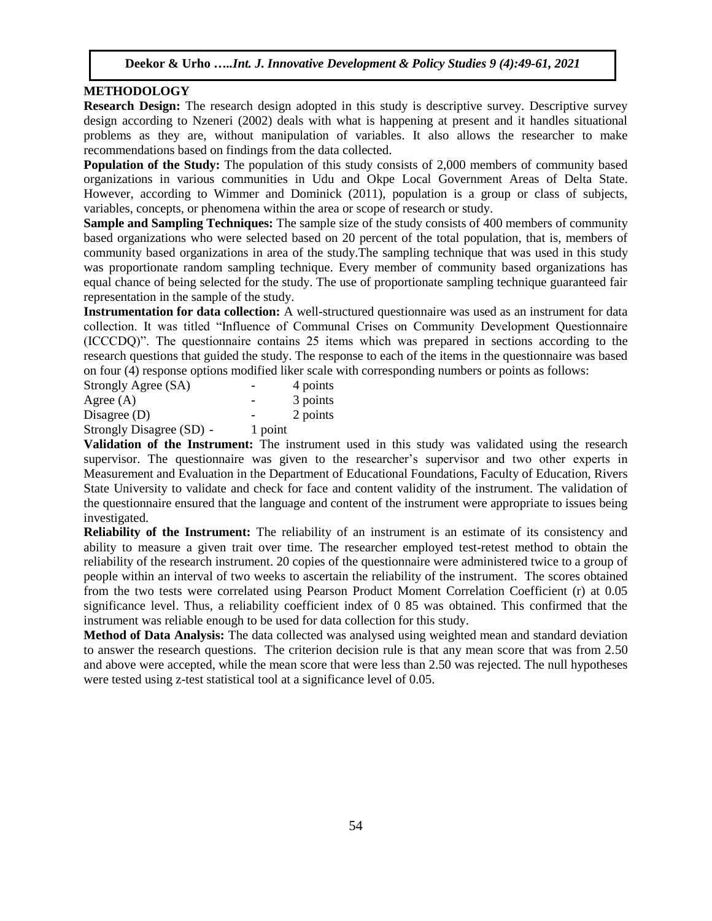# **METHODOLOGY**

**Research Design:** The research design adopted in this study is descriptive survey. Descriptive survey design according to Nzeneri (2002) deals with what is happening at present and it handles situational problems as they are, without manipulation of variables. It also allows the researcher to make recommendations based on findings from the data collected.

**Population of the Study:** The population of this study consists of 2,000 members of community based organizations in various communities in Udu and Okpe Local Government Areas of Delta State. However, according to Wimmer and Dominick (2011), population is a group or class of subjects, variables, concepts, or phenomena within the area or scope of research or study.

**Sample and Sampling Techniques:** The sample size of the study consists of 400 members of community based organizations who were selected based on 20 percent of the total population, that is, members of community based organizations in area of the study.The sampling technique that was used in this study was proportionate random sampling technique. Every member of community based organizations has equal chance of being selected for the study. The use of proportionate sampling technique guaranteed fair representation in the sample of the study.

**Instrumentation for data collection:** A well-structured questionnaire was used as an instrument for data collection. It was titled "Influence of Communal Crises on Community Development Questionnaire (ICCCDQ)". The questionnaire contains 25 items which was prepared in sections according to the research questions that guided the study. The response to each of the items in the questionnaire was based on four (4) response options modified liker scale with corresponding numbers or points as follows:

| Strongly Agree (SA)      | -       | 4 points |
|--------------------------|---------|----------|
| Agree $(A)$              |         | 3 points |
| Disagree $(D)$           |         | 2 points |
| Strongly Disagree (SD) - | 1 point |          |

**Validation of the Instrument:** The instrument used in this study was validated using the research supervisor. The questionnaire was given to the researcher's supervisor and two other experts in Measurement and Evaluation in the Department of Educational Foundations, Faculty of Education, Rivers State University to validate and check for face and content validity of the instrument. The validation of the questionnaire ensured that the language and content of the instrument were appropriate to issues being investigated.

**Reliability of the Instrument:** The reliability of an instrument is an estimate of its consistency and ability to measure a given trait over time. The researcher employed test-retest method to obtain the reliability of the research instrument. 20 copies of the questionnaire were administered twice to a group of people within an interval of two weeks to ascertain the reliability of the instrument. The scores obtained from the two tests were correlated using Pearson Product Moment Correlation Coefficient (r) at 0.05 significance level. Thus, a reliability coefficient index of 0 85 was obtained. This confirmed that the instrument was reliable enough to be used for data collection for this study.

**Method of Data Analysis:** The data collected was analysed using weighted mean and standard deviation to answer the research questions. The criterion decision rule is that any mean score that was from 2.50 and above were accepted, while the mean score that were less than 2.50 was rejected. The null hypotheses were tested using z-test statistical tool at a significance level of 0.05.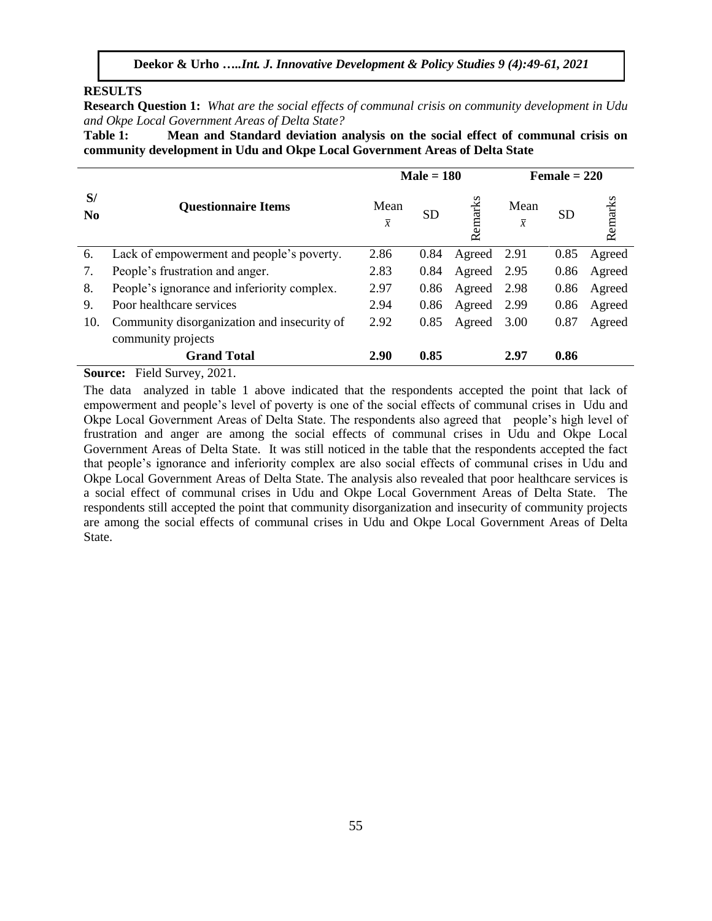## **RESULTS**

**Research Question 1:** *What are the social effects of communal crisis on community development in Udu and Okpe Local Government Areas of Delta State?*

**Table 1: Mean and Standard deviation analysis on the social effect of communal crisis on community development in Udu and Okpe Local Government Areas of Delta State**

|                      |                                             |                        | $Male = 180$ |         | Female $= 220$         |           |         |  |
|----------------------|---------------------------------------------|------------------------|--------------|---------|------------------------|-----------|---------|--|
| S/<br>N <sub>0</sub> | <b>Questionnaire Items</b>                  | Mean<br>$\overline{x}$ | <b>SD</b>    | Remarks | Mean<br>$\overline{x}$ | <b>SD</b> | Remarks |  |
| 6.                   | Lack of empowerment and people's poverty.   | 2.86                   | 0.84         | Agreed  | 2.91                   | 0.85      | Agreed  |  |
| 7.                   | People's frustration and anger.             | 2.83                   | 0.84         | Agreed  | 2.95                   | 0.86      | Agreed  |  |
| 8.                   | People's ignorance and inferiority complex. | 2.97                   | 0.86         | Agreed  | 2.98                   | 0.86      | Agreed  |  |
| 9.                   | Poor healthcare services                    | 2.94                   | 0.86         | Agreed  | 2.99                   | 0.86      | Agreed  |  |
| 10.                  | Community disorganization and insecurity of | 2.92                   | 0.85         | Agreed  | 3.00                   | 0.87      | Agreed  |  |
|                      | community projects                          |                        |              |         |                        |           |         |  |
|                      | <b>Grand Total</b>                          | 2.90                   | 0.85         |         | 2.97                   | 0.86      |         |  |
| <b>Source:</b>       | Field Survey, 2021.                         |                        |              |         |                        |           |         |  |

The data analyzed in table 1 above indicated that the respondents accepted the point that lack of empowerment and people's level of poverty is one of the social effects of communal crises in Udu and Okpe Local Government Areas of Delta State. The respondents also agreed that people's high level of frustration and anger are among the social effects of communal crises in Udu and Okpe Local Government Areas of Delta State. It was still noticed in the table that the respondents accepted the fact that people's ignorance and inferiority complex are also social effects of communal crises in Udu and Okpe Local Government Areas of Delta State. The analysis also revealed that poor healthcare services is a social effect of communal crises in Udu and Okpe Local Government Areas of Delta State. The respondents still accepted the point that community disorganization and insecurity of community projects are among the social effects of communal crises in Udu and Okpe Local Government Areas of Delta State.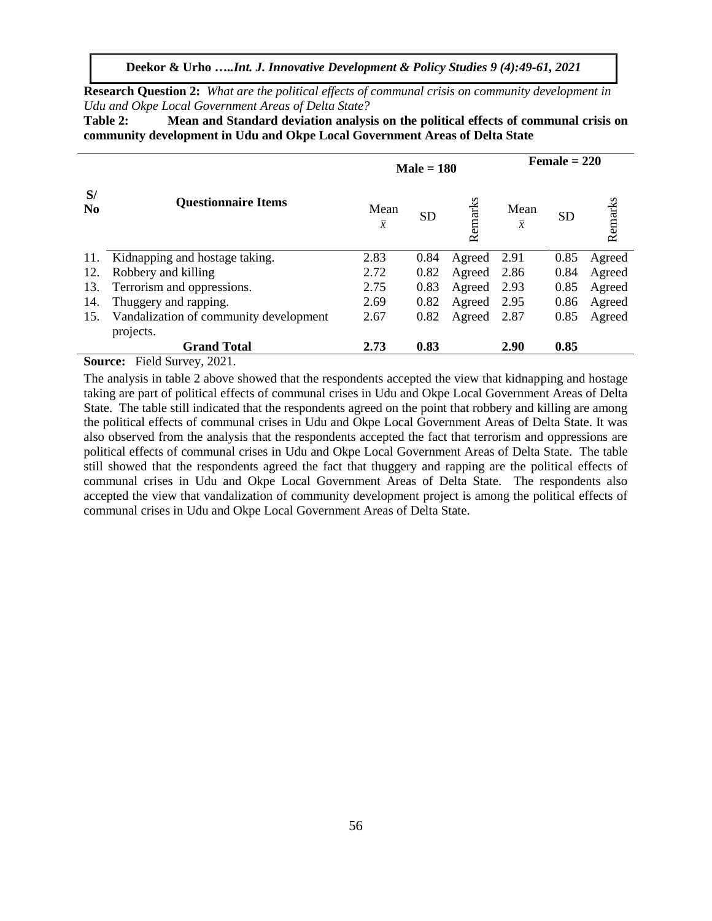**Research Question 2:** *What are the political effects of communal crisis on community development in Udu and Okpe Local Government Areas of Delta State?*

**Table 2: Mean and Standard deviation analysis on the political effects of communal crisis on community development in Udu and Okpe Local Government Areas of Delta State**

|                      |                                          |                        | $Male = 180$ | Female $= 220$ |                        |      |         |
|----------------------|------------------------------------------|------------------------|--------------|----------------|------------------------|------|---------|
| S/<br>N <sub>0</sub> | <b>Questionnaire Items</b>               | Mean<br>$\overline{x}$ | <b>SD</b>    | Remarks        | Mean<br>$\overline{x}$ | SD   | Remarks |
| 11.                  | Kidnapping and hostage taking.           | 2.83                   | 0.84         | Agreed         | 2.91                   | 0.85 | Agreed  |
| 12.                  | Robbery and killing                      | 2.72                   | 0.82         | Agreed         | 2.86                   | 0.84 | Agreed  |
| 13.                  | Terrorism and oppressions.               | 2.75                   | 0.83         | Agreed         | 2.93                   | 0.85 | Agreed  |
| 14.                  | Thuggery and rapping.                    | 2.69                   | 0.82         | Agreed         | 2.95                   | 0.86 | Agreed  |
| 15.                  | Vandalization of community development   | 2.67                   | 0.82         | Agreed         | 2.87                   | 0.85 | Agreed  |
|                      | projects.                                |                        |              |                |                        |      |         |
|                      | <b>Grand Total</b>                       | 2.73                   | 0.83         |                | 2.90                   | 0.85 |         |
| $\sim$               | $T''$ 110<br>$\sim$ $\sim$ $\sim$ $\sim$ |                        |              |                |                        |      |         |

**Source:** Field Survey, 2021.

The analysis in table 2 above showed that the respondents accepted the view that kidnapping and hostage taking are part of political effects of communal crises in Udu and Okpe Local Government Areas of Delta State. The table still indicated that the respondents agreed on the point that robbery and killing are among the political effects of communal crises in Udu and Okpe Local Government Areas of Delta State. It was also observed from the analysis that the respondents accepted the fact that terrorism and oppressions are political effects of communal crises in Udu and Okpe Local Government Areas of Delta State. The table still showed that the respondents agreed the fact that thuggery and rapping are the political effects of communal crises in Udu and Okpe Local Government Areas of Delta State. The respondents also accepted the view that vandalization of community development project is among the political effects of communal crises in Udu and Okpe Local Government Areas of Delta State.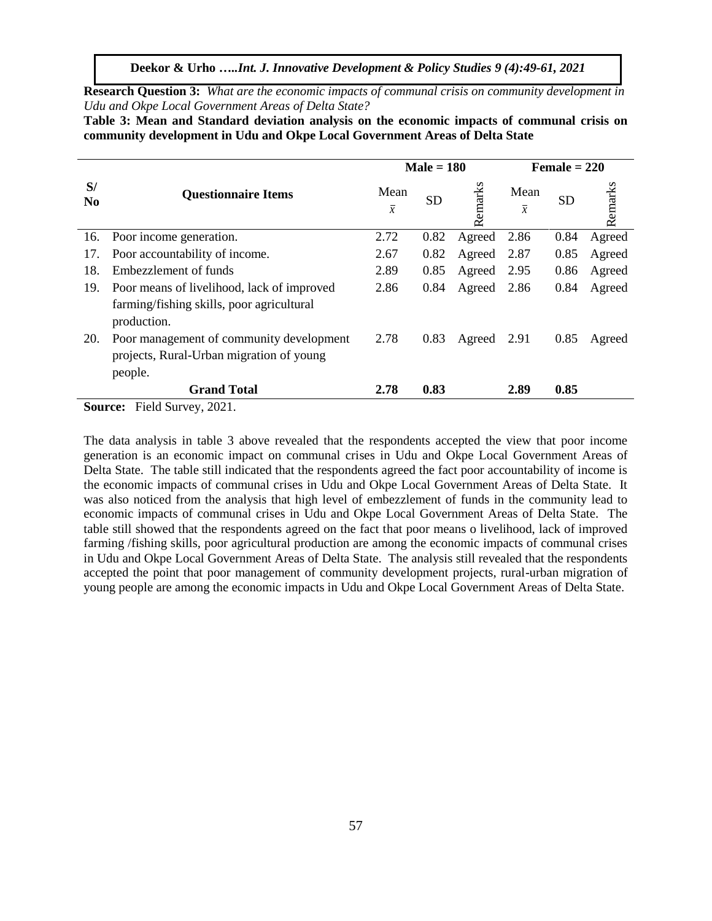**Deekor & Urho …***..Int. J. Innovative Development & Policy Studies 9 (4):49-61, 2021*

**Research Question 3:** *What are the economic impacts of communal crisis on community development in Udu and Okpe Local Government Areas of Delta State?*

**Table 3: Mean and Standard deviation analysis on the economic impacts of communal crisis on community development in Udu and Okpe Local Government Areas of Delta State**

|                      |                                                          |                        | $Male = 180$ |         | $Female = 220$         |           |         |  |
|----------------------|----------------------------------------------------------|------------------------|--------------|---------|------------------------|-----------|---------|--|
| S/<br>N <sub>0</sub> | <b>Questionnaire Items</b>                               | Mean<br>$\overline{x}$ | <b>SD</b>    | Remarks | Mean<br>$\overline{x}$ | <b>SD</b> | Remarks |  |
| 16.                  | Poor income generation.                                  | 2.72                   | 0.82         | Agreed  | 2.86                   | 0.84      | Agreed  |  |
| 17.                  | Poor accountability of income.                           | 2.67                   | 0.82         | Agreed  | 2.87                   | 0.85      | Agreed  |  |
| 18.                  | Embezzlement of funds                                    | 2.89                   | 0.85         | Agreed  | 2.95                   | 0.86      | Agreed  |  |
| 19.                  | Poor means of livelihood, lack of improved               | 2.86                   | 0.84         | Agreed  | 2.86                   | 0.84      | Agreed  |  |
|                      | farming/fishing skills, poor agricultural<br>production. |                        |              |         |                        |           |         |  |
| 20.                  | Poor management of community development                 | 2.78                   | 0.83         | Agreed  | 2.91                   | 0.85      | Agreed  |  |
|                      | projects, Rural-Urban migration of young                 |                        |              |         |                        |           |         |  |
|                      | people.                                                  |                        |              |         |                        |           |         |  |
|                      | <b>Grand Total</b>                                       | 2.78                   | 0.83         |         | 2.89                   | 0.85      |         |  |
| Source:              | Field Survey, 2021.                                      |                        |              |         |                        |           |         |  |

The data analysis in table 3 above revealed that the respondents accepted the view that poor income generation is an economic impact on communal crises in Udu and Okpe Local Government Areas of Delta State. The table still indicated that the respondents agreed the fact poor accountability of income is the economic impacts of communal crises in Udu and Okpe Local Government Areas of Delta State. It was also noticed from the analysis that high level of embezzlement of funds in the community lead to economic impacts of communal crises in Udu and Okpe Local Government Areas of Delta State. The table still showed that the respondents agreed on the fact that poor means o livelihood, lack of improved farming /fishing skills, poor agricultural production are among the economic impacts of communal crises in Udu and Okpe Local Government Areas of Delta State. The analysis still revealed that the respondents accepted the point that poor management of community development projects, rural-urban migration of young people are among the economic impacts in Udu and Okpe Local Government Areas of Delta State.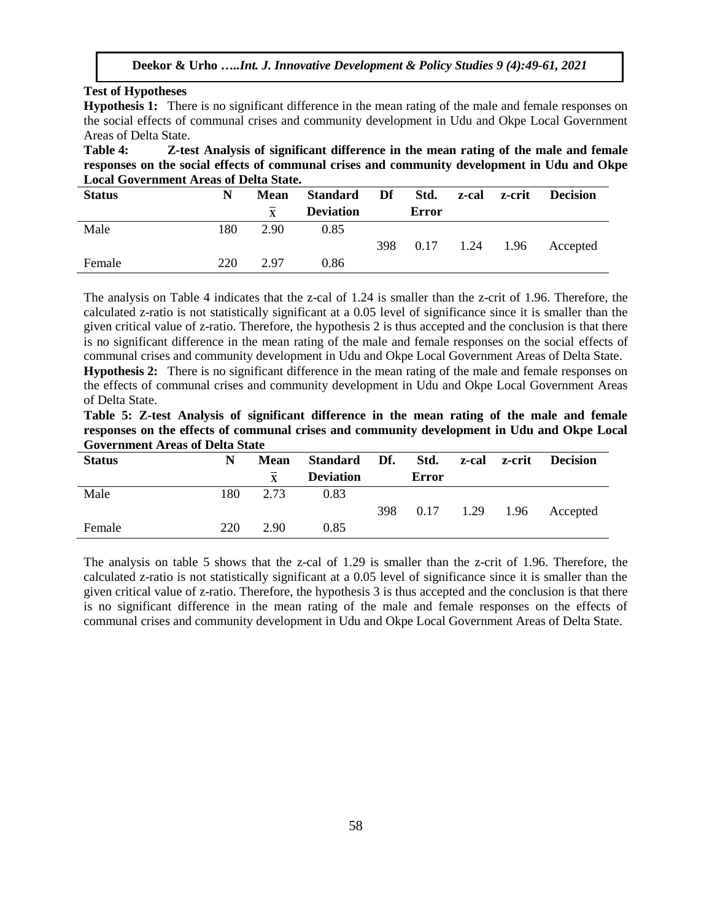# **Test of Hypotheses**

**Hypothesis 1:** There is no significant difference in the mean rating of the male and female responses on the social effects of communal crises and community development in Udu and Okpe Local Government Areas of Delta State.

**Table 4: Z-test Analysis of significant difference in the mean rating of the male and female responses on the social effects of communal crises and community development in Udu and Okpe Local Government Areas of Delta State.**

| <b>Status</b> | N   | Mean | Standard         | Df<br>Std. |                  | z-cal | z-crit | <b>Decision</b> |
|---------------|-----|------|------------------|------------|------------------|-------|--------|-----------------|
|               |     | X    | <b>Deviation</b> |            | Error            |       |        |                 |
| Male          | 180 | 2.90 | 0.85             |            |                  |       |        |                 |
|               |     |      |                  | 398        | $0.17$ 1.24 1.96 |       |        | Accepted        |
| Female        | 220 | 2.97 | 0.86             |            |                  |       |        |                 |

The analysis on Table 4 indicates that the z-cal of 1.24 is smaller than the z-crit of 1.96. Therefore, the calculated z-ratio is not statistically significant at a 0.05 level of significance since it is smaller than the given critical value of z-ratio. Therefore, the hypothesis 2 is thus accepted and the conclusion is that there is no significant difference in the mean rating of the male and female responses on the social effects of communal crises and community development in Udu and Okpe Local Government Areas of Delta State. **Hypothesis 2:** There is no significant difference in the mean rating of the male and female responses on

the effects of communal crises and community development in Udu and Okpe Local Government Areas of Delta State.

|  |                                        | Table 5: Z-test Analysis of significant difference in the mean rating of the male and female |  |  |  |  |  |
|--|----------------------------------------|----------------------------------------------------------------------------------------------|--|--|--|--|--|
|  |                                        | responses on the effects of communal crises and community development in Udu and Okpe Local  |  |  |  |  |  |
|  | <b>Government Areas of Delta State</b> |                                                                                              |  |  |  |  |  |

| <b>Status</b> | N   | <b>Mean</b>  | Standard Df. Std. |     |              |                  | z-cal z-crit | <b>Decision</b> |
|---------------|-----|--------------|-------------------|-----|--------------|------------------|--------------|-----------------|
|               |     | $\mathbf{X}$ | <b>Deviation</b>  |     | <b>Error</b> |                  |              |                 |
| Male          | 180 | 2.73         | 0.83              |     |              |                  |              |                 |
|               |     |              |                   | 398 |              | $0.17$ 1.29 1.96 |              | Accepted        |
| Female        | 220 | 2.90         | 0.85              |     |              |                  |              |                 |

The analysis on table 5 shows that the z-cal of 1.29 is smaller than the z-crit of 1.96. Therefore, the calculated z-ratio is not statistically significant at a 0.05 level of significance since it is smaller than the given critical value of z-ratio. Therefore, the hypothesis 3 is thus accepted and the conclusion is that there is no significant difference in the mean rating of the male and female responses on the effects of communal crises and community development in Udu and Okpe Local Government Areas of Delta State.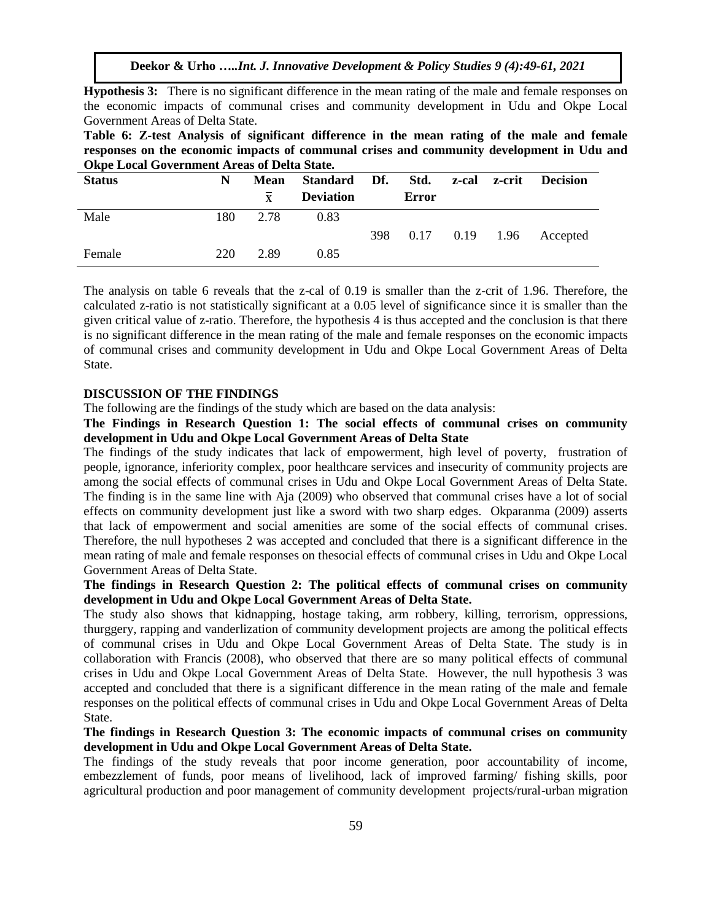**Hypothesis 3:** There is no significant difference in the mean rating of the male and female responses on the economic impacts of communal crises and community development in Udu and Okpe Local Government Areas of Delta State.

**Table 6: Z-test Analysis of significant difference in the mean rating of the male and female responses on the economic impacts of communal crises and community development in Udu and Okpe Local Government Areas of Delta State.**

| <b>Status</b> | N   | <b>Mean</b>  |                  | Standard Df. Std. z-cal z-crit Decision |       |  |                         |
|---------------|-----|--------------|------------------|-----------------------------------------|-------|--|-------------------------|
|               |     | $\mathbf{x}$ | <b>Deviation</b> |                                         | Error |  |                         |
| Male          | 180 | 2.78         | 0.83             |                                         |       |  |                         |
|               |     |              |                  | 398                                     |       |  | 0.17 0.19 1.96 Accepted |
| Female        | 220 | 2.89         | 0.85             |                                         |       |  |                         |

The analysis on table 6 reveals that the z-cal of 0.19 is smaller than the z-crit of 1.96. Therefore, the calculated z-ratio is not statistically significant at a 0.05 level of significance since it is smaller than the given critical value of z-ratio. Therefore, the hypothesis 4 is thus accepted and the conclusion is that there is no significant difference in the mean rating of the male and female responses on the economic impacts of communal crises and community development in Udu and Okpe Local Government Areas of Delta State.

## **DISCUSSION OF THE FINDINGS**

The following are the findings of the study which are based on the data analysis:

**The Findings in Research Question 1: The social effects of communal crises on community development in Udu and Okpe Local Government Areas of Delta State** 

The findings of the study indicates that lack of empowerment, high level of poverty, frustration of people, ignorance, inferiority complex, poor healthcare services and insecurity of community projects are among the social effects of communal crises in Udu and Okpe Local Government Areas of Delta State. The finding is in the same line with Aja (2009) who observed that communal crises have a lot of social effects on community development just like a sword with two sharp edges. Okparanma (2009) asserts that lack of empowerment and social amenities are some of the social effects of communal crises. Therefore, the null hypotheses 2 was accepted and concluded that there is a significant difference in the mean rating of male and female responses on thesocial effects of communal crises in Udu and Okpe Local Government Areas of Delta State.

# **The findings in Research Question 2: The political effects of communal crises on community development in Udu and Okpe Local Government Areas of Delta State.**

The study also shows that kidnapping, hostage taking, arm robbery, killing, terrorism, oppressions, thurggery, rapping and vanderlization of community development projects are among the political effects of communal crises in Udu and Okpe Local Government Areas of Delta State. The study is in collaboration with Francis (2008), who observed that there are so many political effects of communal crises in Udu and Okpe Local Government Areas of Delta State. However, the null hypothesis 3 was accepted and concluded that there is a significant difference in the mean rating of the male and female responses on the political effects of communal crises in Udu and Okpe Local Government Areas of Delta State.

# **The findings in Research Question 3: The economic impacts of communal crises on community development in Udu and Okpe Local Government Areas of Delta State.**

The findings of the study reveals that poor income generation, poor accountability of income, embezzlement of funds, poor means of livelihood, lack of improved farming/ fishing skills, poor agricultural production and poor management of community development projects/rural-urban migration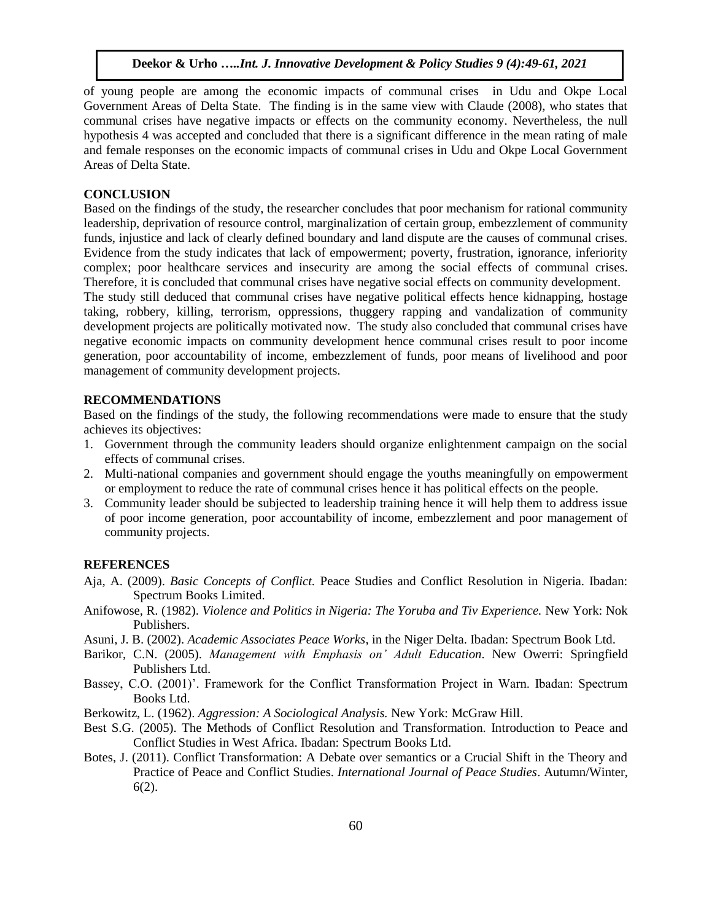of young people are among the economic impacts of communal crises in Udu and Okpe Local Government Areas of Delta State. The finding is in the same view with Claude (2008), who states that communal crises have negative impacts or effects on the community economy. Nevertheless, the null hypothesis 4 was accepted and concluded that there is a significant difference in the mean rating of male and female responses on the economic impacts of communal crises in Udu and Okpe Local Government Areas of Delta State.

#### **CONCLUSION**

Based on the findings of the study, the researcher concludes that poor mechanism for rational community leadership, deprivation of resource control, marginalization of certain group, embezzlement of community funds, injustice and lack of clearly defined boundary and land dispute are the causes of communal crises. Evidence from the study indicates that lack of empowerment; poverty, frustration, ignorance, inferiority complex; poor healthcare services and insecurity are among the social effects of communal crises. Therefore, it is concluded that communal crises have negative social effects on community development.

The study still deduced that communal crises have negative political effects hence kidnapping, hostage taking, robbery, killing, terrorism, oppressions, thuggery rapping and vandalization of community development projects are politically motivated now. The study also concluded that communal crises have negative economic impacts on community development hence communal crises result to poor income generation, poor accountability of income, embezzlement of funds, poor means of livelihood and poor management of community development projects.

## **RECOMMENDATIONS**

Based on the findings of the study, the following recommendations were made to ensure that the study achieves its objectives:

- 1. Government through the community leaders should organize enlightenment campaign on the social effects of communal crises.
- 2. Multi-national companies and government should engage the youths meaningfully on empowerment or employment to reduce the rate of communal crises hence it has political effects on the people.
- 3. Community leader should be subjected to leadership training hence it will help them to address issue of poor income generation, poor accountability of income, embezzlement and poor management of community projects.

## **REFERENCES**

- Aja, A. (2009). *Basic Concepts of Conflict.* Peace Studies and Conflict Resolution in Nigeria. Ibadan: Spectrum Books Limited.
- Anifowose, R. (1982). *Violence and Politics in Nigeria: The Yoruba and Tiv Experience.* New York: Nok Publishers.
- Asuni, J. B. (2002). *Academic Associates Peace Works*, in the Niger Delta. Ibadan: Spectrum Book Ltd.
- Barikor, C.N. (2005). *Management with Emphasis on' Adult Education*. New Owerri: Springfield Publishers Ltd.
- Bassey, C.O. (2001)'. Framework for the Conflict Transformation Project in Warn. Ibadan: Spectrum Books Ltd.
- Berkowitz, L. (1962). *Aggression: A Sociological Analysis.* New York: McGraw Hill.
- Best S.G. (2005). The Methods of Conflict Resolution and Transformation. Introduction to Peace and Conflict Studies in West Africa. Ibadan: Spectrum Books Ltd.
- Botes, J. (2011). Conflict Transformation: A Debate over semantics or a Crucial Shift in the Theory and Practice of Peace and Conflict Studies. *International Journal of Peace Studies*. Autumn/Winter, 6(2).